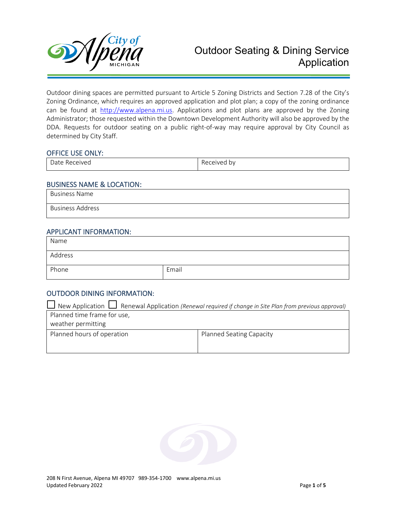

Outdoor dining spaces are permitted pursuant to Article 5 Zoning Districts and Section 7.28 of the City's Zoning Ordinance, which requires an approved application and plot plan; a copy of the zoning ordinance can be found at [http://www.alpena.mi.us.](http://www.alpena.mi.us/) Applications and plot plans are approved by the Zoning Administrator; those requested within the Downtown Development Authority will also be approved by the DDA. Requests for outdoor seating on a public right-of-way may require approval by City Council as determined by City Staff.

#### OFFICE USE ONLY:

| . `AIVA'<br>RPI<br>,,,,,,,,, | $\overline{\phantom{0}}$<br>bv<br>ĸΑι<br>PIVPI<br>ັບທ |
|------------------------------|-------------------------------------------------------|
|                              |                                                       |

#### BUSINESS NAME & LOCATION:

Business Name

Business Address

#### APPLICANT INFORMATION:

| Name    |       |
|---------|-------|
| Address |       |
| Phone   | Email |

## OUTDOOR DINING INFORMATION:

| New Application $\Box$ Renewal Application (Renewal required if change in Site Plan from previous approval) |                          |  |
|-------------------------------------------------------------------------------------------------------------|--------------------------|--|
| Planned time frame for use,                                                                                 |                          |  |
| weather permitting                                                                                          |                          |  |
| Planned hours of operation                                                                                  | Planned Seating Capacity |  |
|                                                                                                             |                          |  |

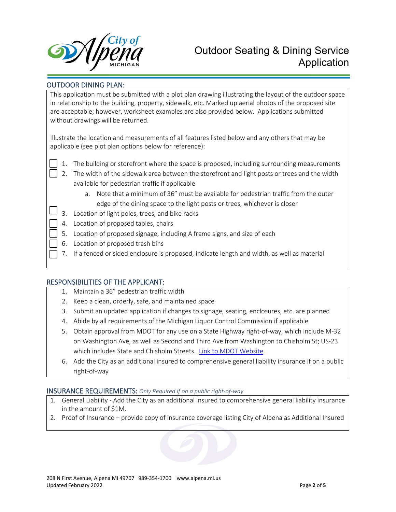

# Outdoor Seating & Dining Service Application

## OUTDOOR DINING PLAN:

This application must be submitted with a plot plan drawing illustrating the layout of the outdoor space in relationship to the building, property, sidewalk, etc. Marked up aerial photos of the proposed site are acceptable; however, worksheet examples are also provided below. Applications submitted without drawings will be returned.

Illustrate the location and measurements of all features listed below and any others that may be applicable (see plot plan options below for reference):

- - 1. The building or storefront where the space is proposed, including surrounding measurements
	- 2. The width of the sidewalk area between the storefront and light posts or trees and the width available for pedestrian traffic if applicable
		- a. Note that a minimum of 36" must be available for pedestrian traffic from the outer edge of the dining space to the light posts or trees, whichever is closer
	- 3. Location of light poles, trees, and bike racks
	- 4. Location of proposed tables, chairs
	- 5. Location of proposed signage, including A frame signs, and size of each
	- 6. Location of proposed trash bins
	- 7. If a fenced or sided enclosure is proposed, indicate length and width, as well as material

## RESPONSIBILITIES OF THE APPLICANT:

- 1. Maintain a 36" pedestrian traffic width
- 2. Keep a clean, orderly, safe, and maintained space
- 3. Submit an updated application if changes to signage, seating, enclosures, etc. are planned
- 4. Abide by all requirements of the Michigan Liquor Control Commission if applicable
- 5. Obtain approval from MDOT for any use on a State Highway right-of-way, which include M-32 on Washington Ave, as well as Second and Third Ave from Washington to Chisholm St; US-23 which includes State and Chisholm Streets. [Link to MDOT Website](https://www.michigan.gov/mdot/0,4616,7-151-9625-399737--,00.html)
- 6. Add the City as an additional insured to comprehensive general liability insurance if on a public right-of-way

## INSURANCE REQUIREMENTS: *Only Required if on a public right-of-way*

- 1. General Liability Add the City as an additional insured to comprehensive general liability insurance in the amount of \$1M.
- 2. Proof of Insurance provide copy of insurance coverage listing City of Alpena as Additional Insured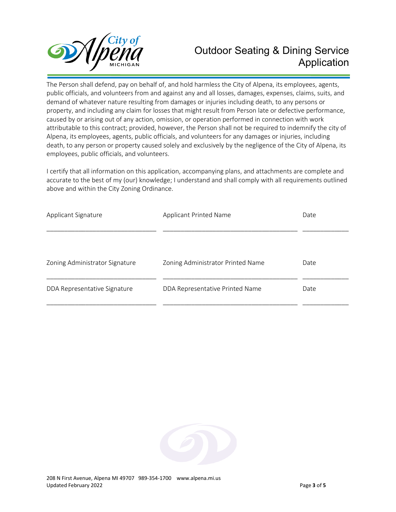

# Outdoor Seating & Dining Service Application

The Person shall defend, pay on behalf of, and hold harmless the City of Alpena, its employees, agents, public officials, and volunteers from and against any and all losses, damages, expenses, claims, suits, and demand of whatever nature resulting from damages or injuries including death, to any persons or property, and including any claim for losses that might result from Person late or defective performance, caused by or arising out of any action, omission, or operation performed in connection with work attributable to this contract; provided, however, the Person shall not be required to indemnify the city of Alpena, its employees, agents, public officials, and volunteers for any damages or injuries, including death, to any person or property caused solely and exclusively by the negligence of the City of Alpena, its employees, public officials, and volunteers.

I certify that all information on this application, accompanying plans, and attachments are complete and accurate to the best of my (our) knowledge; I understand and shall comply with all requirements outlined above and within the City Zoning Ordinance.

| <b>Applicant Printed Name</b><br>Applicant Signature |                                   | Date |
|------------------------------------------------------|-----------------------------------|------|
|                                                      |                                   |      |
| Zoning Administrator Signature                       | Zoning Administrator Printed Name | Date |
| DDA Representative Signature                         | DDA Representative Printed Name   | Date |

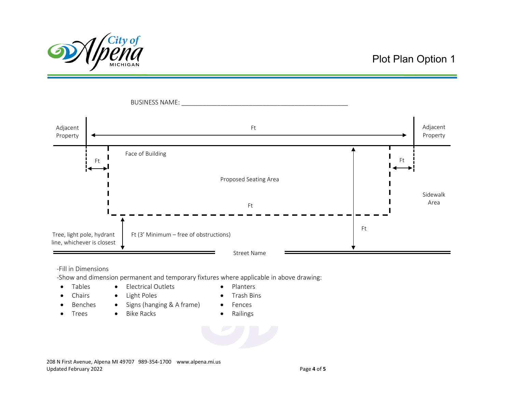

## Plot Plan Option 1



#### -Fill in Dimensions

-Show and dimension permanent and temporary fixtures where applicable in above drawing:

- Tables Electrical Outlets Planters
	-
- 
- Chairs Light Poles Trash Bins
- 
- Benches Signs (hanging & A frame) Fences
- -
- Trees Bike Racks Railings
	-